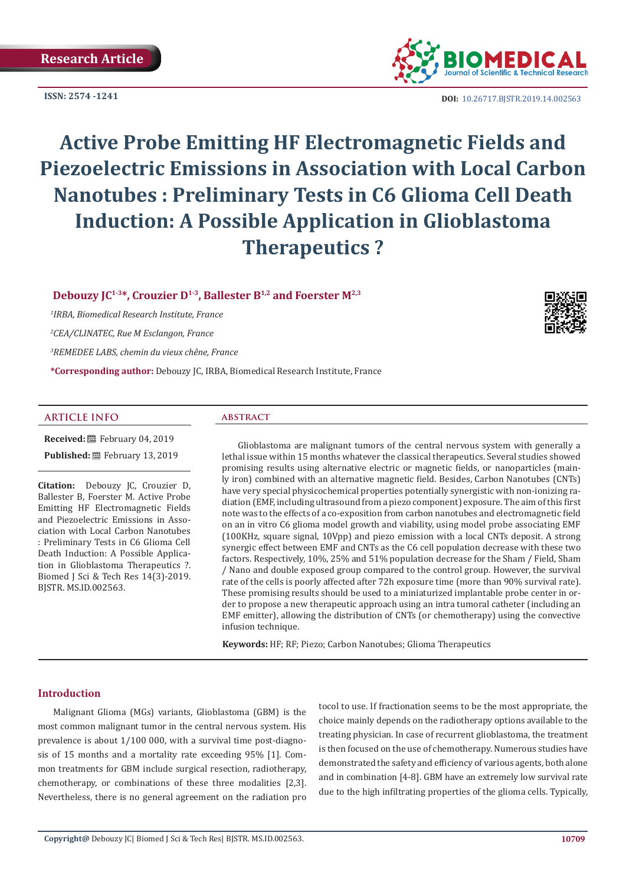**ISSN: 2574 -1241**



**DOI:** [10.26717.BJSTR.2019.14.0025](http://dx.doi.org/10.26717/BJSTR.2019.14.002563)63

# **Active Probe Emitting HF Electromagnetic Fields and Piezoelectric Emissions in Association with Local Carbon Nanotubes : Preliminary Tests in C6 Glioma Cell Death Induction: A Possible Application in Glioblastoma Therapeutics ?**

## **Debouzy JC1-3\*, Crouzier D1-3, Ballester B1,2 and Foerster M2,3**

*1 IRBA, Biomedical Research Institute, France*

*2 CEA/CLINATEC, Rue M Esclangon, France*

*3 REMEDEE LABS, chemin du vieux chêne, France*

**\*Corresponding author:** Debouzy JC, IRBA, Biomedical Research Institute, France

#### **ARTICLE INFO abstract**

**Received:** February 04, 2019 Published: **■**February 13, 2019

**Citation:** Debouzy JC, Crouzier D, Ballester B, Foerster M. Active Probe Emitting HF Electromagnetic Fields and Piezoelectric Emissions in Association with Local Carbon Nanotubes : Preliminary Tests in C6 Glioma Cell Death Induction: A Possible Application in Glioblastoma Therapeutics ?. Biomed J Sci & Tech Res 14(3)-2019. BJSTR. MS.ID.002563.

Glioblastoma are malignant tumors of the central nervous system with generally a lethal issue within 15 months whatever the classical therapeutics. Several studies showed promising results using alternative electric or magnetic fields, or nanoparticles (mainly iron) combined with an alternative magnetic field. Besides, Carbon Nanotubes (CNTs) have very special physicochemical properties potentially synergistic with non-ionizing radiation (EMF, including ultrasound from a piezo component) exposure. The aim of this first note was to the effects of a co-exposition from carbon nanotubes and electromagnetic field on an in vitro C6 glioma model growth and viability, using model probe associating EMF (100KHz, square signal, 10Vpp) and piezo emission with a local CNTs deposit. A strong synergic effect between EMF and CNTs as the C6 cell population decrease with these two factors. Respectively, 10%, 25% and 51% population decrease for the Sham / Field, Sham / Nano and double exposed group compared to the control group. However, the survival rate of the cells is poorly affected after 72h exposure time (more than 90% survival rate). These promising results should be used to a miniaturized implantable probe center in order to propose a new therapeutic approach using an intra tumoral catheter (including an EMF emitter), allowing the distribution of CNTs (or chemotherapy) using the convective infusion technique.

**Keywords:** HF; RF; Piezo; Carbon Nanotubes; Glioma Therapeutics

#### **Introduction**

Malignant Glioma (MGs) variants, Glioblastoma (GBM) is the most common malignant tumor in the central nervous system. His prevalence is about 1/100 000, with a survival time post-diagnosis of 15 months and a mortality rate exceeding 95% [1]. Common treatments for GBM include surgical resection, radiotherapy, chemotherapy, or combinations of these three modalities [2,3]. Nevertheless, there is no general agreement on the radiation pro

tocol to use. If fractionation seems to be the most appropriate, the choice mainly depends on the radiotherapy options available to the treating physician. In case of recurrent glioblastoma, the treatment is then focused on the use of chemotherapy. Numerous studies have demonstrated the safety and efficiency of various agents, both alone and in combination [4-8]. GBM have an extremely low survival rate due to the high infiltrating properties of the glioma cells. Typically,

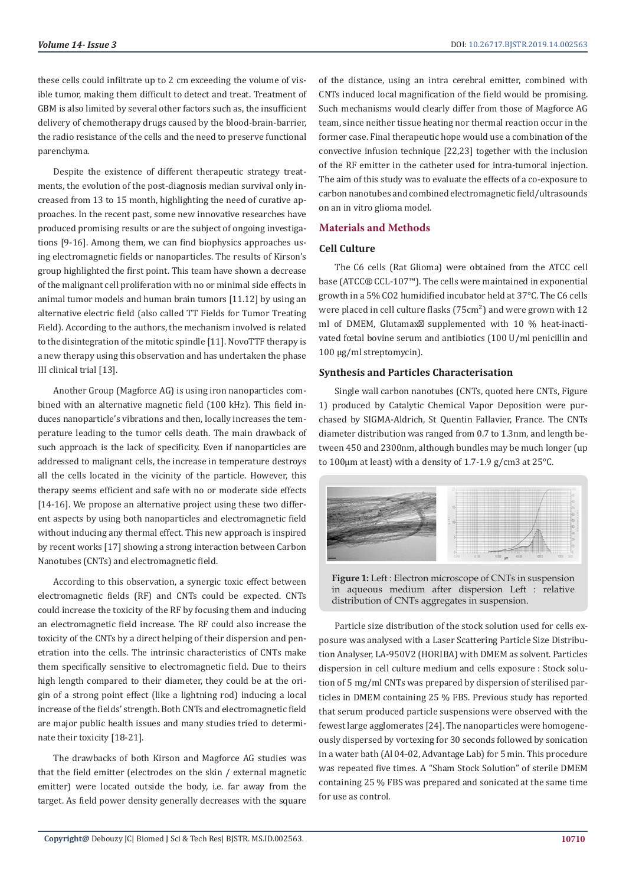these cells could infiltrate up to 2 cm exceeding the volume of visible tumor, making them difficult to detect and treat. Treatment of GBM is also limited by several other factors such as, the insufficient delivery of chemotherapy drugs caused by the blood-brain-barrier, the radio resistance of the cells and the need to preserve functional parenchyma.

Despite the existence of different therapeutic strategy treatments, the evolution of the post-diagnosis median survival only increased from 13 to 15 month, highlighting the need of curative approaches. In the recent past, some new innovative researches have produced promising results or are the subject of ongoing investigations [9-16]. Among them, we can find biophysics approaches using electromagnetic fields or nanoparticles. The results of Kirson's group highlighted the first point. This team have shown a decrease of the malignant cell proliferation with no or minimal side effects in animal tumor models and human brain tumors [11.12] by using an alternative electric field (also called TT Fields for Tumor Treating Field). According to the authors, the mechanism involved is related to the disintegration of the mitotic spindle [11]. NovoTTF therapy is a new therapy using this observation and has undertaken the phase III clinical trial [13].

Another Group (Magforce AG) is using iron nanoparticles combined with an alternative magnetic field (100 kHz). This field induces nanoparticle's vibrations and then, locally increases the temperature leading to the tumor cells death. The main drawback of such approach is the lack of specificity. Even if nanoparticles are addressed to malignant cells, the increase in temperature destroys all the cells located in the vicinity of the particle. However, this therapy seems efficient and safe with no or moderate side effects [14-16]. We propose an alternative project using these two different aspects by using both nanoparticles and electromagnetic field without inducing any thermal effect. This new approach is inspired by recent works [17] showing a strong interaction between Carbon Nanotubes (CNTs) and electromagnetic field.

According to this observation, a synergic toxic effect between electromagnetic fields (RF) and CNTs could be expected. CNTs could increase the toxicity of the RF by focusing them and inducing an electromagnetic field increase. The RF could also increase the toxicity of the CNTs by a direct helping of their dispersion and penetration into the cells. The intrinsic characteristics of CNTs make them specifically sensitive to electromagnetic field. Due to theirs high length compared to their diameter, they could be at the origin of a strong point effect (like a lightning rod) inducing a local increase of the fields' strength. Both CNTs and electromagnetic field are major public health issues and many studies tried to determinate their toxicity [18-21].

The drawbacks of both Kirson and Magforce AG studies was that the field emitter (electrodes on the skin / external magnetic emitter) were located outside the body, i.e. far away from the target. As field power density generally decreases with the square

of the distance, using an intra cerebral emitter, combined with CNTs induced local magnification of the field would be promising. Such mechanisms would clearly differ from those of Magforce AG team, since neither tissue heating nor thermal reaction occur in the former case. Final therapeutic hope would use a combination of the convective infusion technique [22,23] together with the inclusion of the RF emitter in the catheter used for intra-tumoral injection. The aim of this study was to evaluate the effects of a co-exposure to carbon nanotubes and combined electromagnetic field/ultrasounds on an in vitro glioma model.

#### **Materials and Methods**

#### **Cell Culture**

The C6 cells (Rat Glioma) were obtained from the ATCC cell base (ATCC® CCL-107™). The cells were maintained in exponential growth in a 5% CO2 humidified incubator held at 37°C. The C6 cells were placed in cell culture flasks (75cm<sup>2</sup>) and were grown with 12 ml of DMEM, Glutamax supplemented with 10 % heat-inactivated fœtal bovine serum and antibiotics (100 U/ml penicillin and 100 µg/ml streptomycin).

#### **Synthesis and Particles Characterisation**

Single wall carbon nanotubes (CNTs, quoted here CNTs, Figure 1) produced by Catalytic Chemical Vapor Deposition were purchased by SIGMA-Aldrich, St Quentin Fallavier, France. The CNTs diameter distribution was ranged from 0.7 to 1.3nm, and length between 450 and 2300nm, although bundles may be much longer (up to 100µm at least) with a density of 1.7-1.9 g/cm3 at 25°C.



**Figure 1:** Left : Electron microscope of CNTs in suspension in aqueous medium after dispersion Left : relative distribution of CNTs aggregates in suspension.

Particle size distribution of the stock solution used for cells exposure was analysed with a Laser Scattering Particle Size Distribution Analyser, LA-950V2 (HORIBA) with DMEM as solvent. Particles dispersion in cell culture medium and cells exposure : Stock solution of 5 mg/ml CNTs was prepared by dispersion of sterilised particles in DMEM containing 25 % FBS. Previous study has reported that serum produced particle suspensions were observed with the fewest large agglomerates [24]. The nanoparticles were homogeneously dispersed by vortexing for 30 seconds followed by sonication in a water bath (Al 04-02, Advantage Lab) for 5 min. This procedure was repeated five times. A "Sham Stock Solution" of sterile DMEM containing 25 % FBS was prepared and sonicated at the same time for use as control.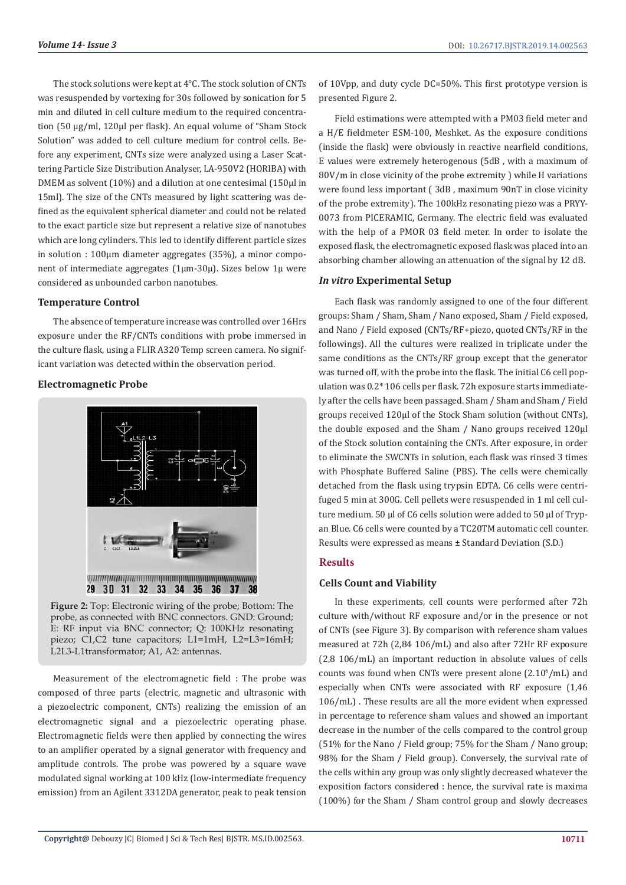The stock solutions were kept at 4°C. The stock solution of CNTs was resuspended by vortexing for 30s followed by sonication for 5 min and diluted in cell culture medium to the required concentration (50 µg/ml, 120µl per flask). An equal volume of "Sham Stock Solution" was added to cell culture medium for control cells. Before any experiment, CNTs size were analyzed using a Laser Scattering Particle Size Distribution Analyser, LA-950V2 (HORIBA) with DMEM as solvent (10%) and a dilution at one centesimal (150µl in 15ml). The size of the CNTs measured by light scattering was defined as the equivalent spherical diameter and could not be related to the exact particle size but represent a relative size of nanotubes which are long cylinders. This led to identify different particle sizes in solution : 100um diameter aggregates (35%), a minor component of intermediate aggregates ( $1\mu$ m-30 $\mu$ ). Sizes below  $1\mu$  were considered as unbounded carbon nanotubes.

#### **Temperature Control**

The absence of temperature increase was controlled over 16Hrs exposure under the RF/CNTs conditions with probe immersed in the culture flask, using a FLIR A320 Temp screen camera. No significant variation was detected within the observation period.

#### **Electromagnetic Probe**



**Figure 2:** Top: Electronic wiring of the probe; Bottom: The probe, as connected with BNC connectors. GND: Ground; E: RF input via BNC connector; Q: 100KHz resonating piezo; C1,C2 tune capacitors; L1=1mH, L2=L3=16mH; L2L3-L1transformator; A1, A2: antennas.

Measurement of the electromagnetic field : The probe was composed of three parts (electric, magnetic and ultrasonic with a piezoelectric component, CNTs) realizing the emission of an electromagnetic signal and a piezoelectric operating phase. Electromagnetic fields were then applied by connecting the wires to an amplifier operated by a signal generator with frequency and amplitude controls. The probe was powered by a square wave modulated signal working at 100 kHz (low-intermediate frequency emission) from an Agilent 3312DA generator, peak to peak tension of 10Vpp, and duty cycle DC=50%. This first prototype version is presented Figure 2.

Field estimations were attempted with a PM03 field meter and a H/E fieldmeter ESM-100, Meshket. As the exposure conditions (inside the flask) were obviously in reactive nearfield conditions, E values were extremely heterogenous (5dB , with a maximum of 80V/m in close vicinity of the probe extremity ) while H variations were found less important ( 3dB , maximum 90nT in close vicinity of the probe extremity). The 100kHz resonating piezo was a PRYY-0073 from PICERAMIC, Germany. The electric field was evaluated with the help of a PMOR 03 field meter. In order to isolate the exposed flask, the electromagnetic exposed flask was placed into an absorbing chamber allowing an attenuation of the signal by 12 dB.

#### *In vitro* **Experimental Setup**

Each flask was randomly assigned to one of the four different groups: Sham / Sham, Sham / Nano exposed, Sham / Field exposed, and Nano / Field exposed (CNTs/RF+piezo, quoted CNTs/RF in the followings). All the cultures were realized in triplicate under the same conditions as the CNTs/RF group except that the generator was turned off, with the probe into the flask. The initial C6 cell population was 0.2\* 106 cells per flask. 72h exposure starts immediately after the cells have been passaged. Sham / Sham and Sham / Field groups received 120µl of the Stock Sham solution (without CNTs), the double exposed and the Sham / Nano groups received 120µl of the Stock solution containing the CNTs. After exposure, in order to eliminate the SWCNTs in solution, each flask was rinsed 3 times with Phosphate Buffered Saline (PBS). The cells were chemically detached from the flask using trypsin EDTA. C6 cells were centrifuged 5 min at 300G. Cell pellets were resuspended in 1 ml cell culture medium. 50 µl of C6 cells solution were added to 50 µl of Trypan Blue. C6 cells were counted by a TC20TM automatic cell counter. Results were expressed as means ± Standard Deviation (S.D.)

#### **Results**

#### **Cells Count and Viability**

In these experiments, cell counts were performed after 72h culture with/without RF exposure and/or in the presence or not of CNTs (see Figure 3). By comparison with reference sham values measured at 72h (2,84 106/mL) and also after 72Hr RF exposure (2,8 106/mL) an important reduction in absolute values of cells counts was found when CNTs were present alone  $(2.10^6/\text{mL})$  and especially when CNTs were associated with RF exposure (1,46 106/mL) . These results are all the more evident when expressed in percentage to reference sham values and showed an important decrease in the number of the cells compared to the control group (51% for the Nano / Field group; 75% for the Sham / Nano group; 98% for the Sham / Field group). Conversely, the survival rate of the cells within any group was only slightly decreased whatever the exposition factors considered : hence, the survival rate is maxima (100%) for the Sham / Sham control group and slowly decreases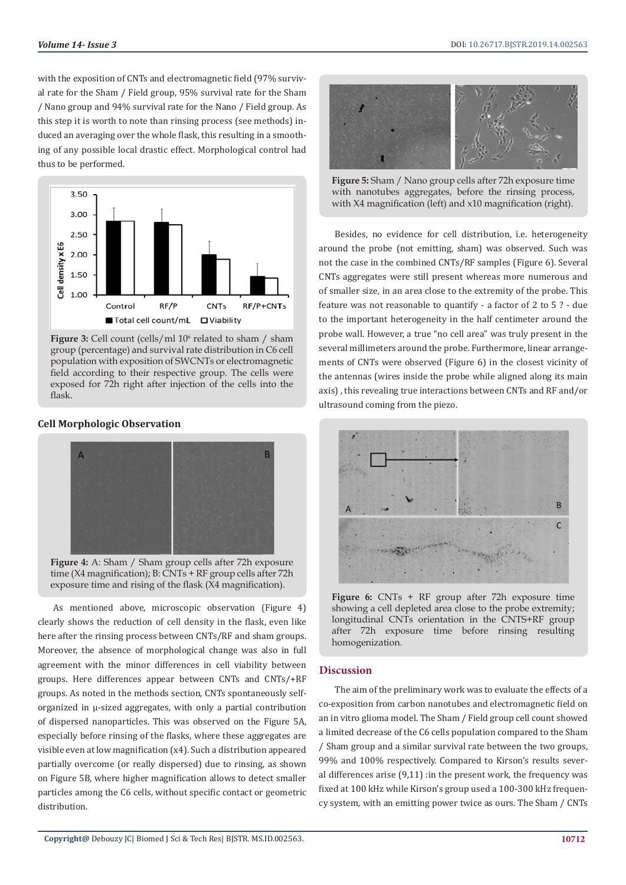with the exposition of CNTs and electromagnetic field (97% survival rate for the Sham / Field group, 95% survival rate for the Sham / Nano group and 94% survival rate for the Nano / Field group. As this step it is worth to note than rinsing process (see methods) induced an averaging over the whole flask, this resulting in a smoothing of any possible local drastic effect. Morphological control had thus to be performed.



**Figure 3:** Cell count (cells/ml 10<sup>6</sup> related to sham / sham group (percentage) and survival rate distribution in C6 cell population with exposition of SWCNTs or electromagnetic field according to their respective group. The cells were exposed for 72h right after injection of the cells into the flask.

### **Cell Morphologic Observation**



Figure 4: A: Sham / Sham group cells after 72h exposure time (X4 magnification); B: CNTs + RF group cells after 72h exposure time and rising of the flask (X4 magnification).

As mentioned above, microscopic observation (Figure 4) clearly shows the reduction of cell density in the flask, even like here after the rinsing process between CNTs/RF and sham groups. Moreover, the absence of morphological change was also in full agreement with the minor differences in cell viability between groups. Here differences appear between CNTs and CNTs/+RF groups. As noted in the methods section, CNTs spontaneously selforganized in µ-sized aggregates, with only a partial contribution of dispersed nanoparticles. This was observed on the Figure 5A, especially before rinsing of the flasks, where these aggregates are visible even at low magnification (x4). Such a distribution appeared partially overcome (or really dispersed) due to rinsing, as shown on Figure 5B, where higher magnification allows to detect smaller particles among the C6 cells, without specific contact or geometric distribution.



**Figure 5:** Sham / Nano group cells after 72h exposure time with nanotubes aggregates, before the rinsing process, with X4 magnification (left) and x10 magnification (right).

Besides, no evidence for cell distribution, i.e. heterogeneity around the probe (not emitting, sham) was observed. Such was not the case in the combined CNTs/RF samples (Figure 6). Several CNTs aggregates were still present whereas more numerous and of smaller size, in an area close to the extremity of the probe. This feature was not reasonable to quantify - a factor of 2 to 5 ? - due to the important heterogeneity in the half centimeter around the probe wall. However, a true "no cell area" was truly present in the several millimeters around the probe. Furthermore, linear arrangements of CNTs were observed (Figure 6) in the closest vicinity of the antennas (wires inside the probe while aligned along its main axis) , this revealing true interactions between CNTs and RF and/or ultrasound coming from the piezo.



**Figure 6:** CNTs + RF group after 72h exposure time showing a cell depleted area close to the probe extremity; longitudinal CNTs orientation in the CNTS+RF group after 72h exposure time before rinsing resulting homogenization.

#### **Discussion**

The aim of the preliminary work was to evaluate the effects of a co-exposition from carbon nanotubes and electromagnetic field on an in vitro glioma model. The Sham / Field group cell count showed a limited decrease of the C6 cells population compared to the Sham / Sham group and a similar survival rate between the two groups, 99% and 100% respectively. Compared to Kirson's results several differences arise (9,11) :in the present work, the frequency was fixed at 100 kHz while Kirson's group used a 100-300 kHz frequency system, with an emitting power twice as ours. The Sham / CNTs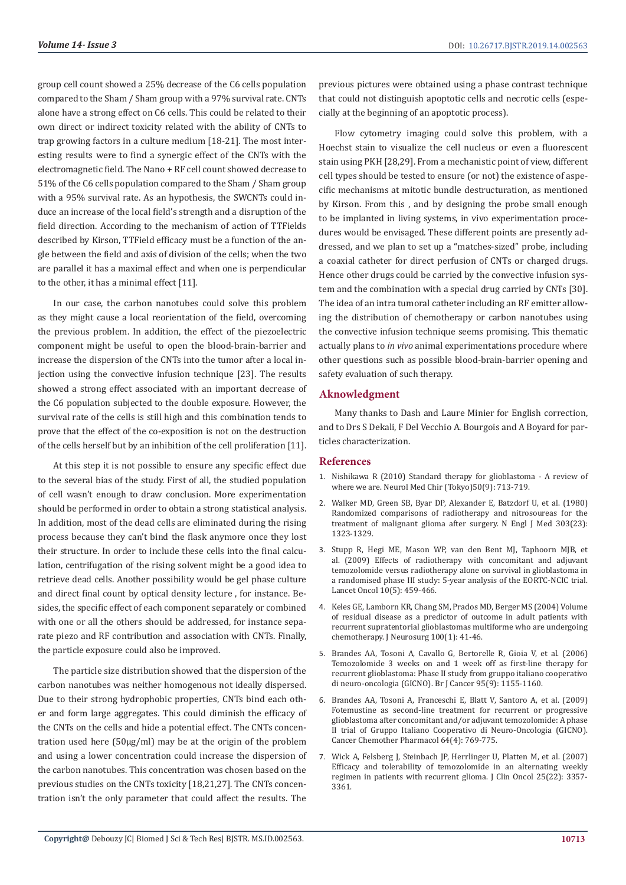group cell count showed a 25% decrease of the C6 cells population compared to the Sham / Sham group with a 97% survival rate. CNTs alone have a strong effect on C6 cells. This could be related to their own direct or indirect toxicity related with the ability of CNTs to trap growing factors in a culture medium [18-21]. The most interesting results were to find a synergic effect of the CNTs with the electromagnetic field. The Nano + RF cell count showed decrease to 51% of the C6 cells population compared to the Sham / Sham group with a 95% survival rate. As an hypothesis, the SWCNTs could induce an increase of the local field's strength and a disruption of the field direction. According to the mechanism of action of TTFields described by Kirson, TTField efficacy must be a function of the angle between the field and axis of division of the cells; when the two are parallel it has a maximal effect and when one is perpendicular to the other, it has a minimal effect [11].

In our case, the carbon nanotubes could solve this problem as they might cause a local reorientation of the field, overcoming the previous problem. In addition, the effect of the piezoelectric component might be useful to open the blood-brain-barrier and increase the dispersion of the CNTs into the tumor after a local injection using the convective infusion technique [23]. The results showed a strong effect associated with an important decrease of the C6 population subjected to the double exposure. However, the survival rate of the cells is still high and this combination tends to prove that the effect of the co-exposition is not on the destruction of the cells herself but by an inhibition of the cell proliferation [11].

At this step it is not possible to ensure any specific effect due to the several bias of the study. First of all, the studied population of cell wasn't enough to draw conclusion. More experimentation should be performed in order to obtain a strong statistical analysis. In addition, most of the dead cells are eliminated during the rising process because they can't bind the flask anymore once they lost their structure. In order to include these cells into the final calculation, centrifugation of the rising solvent might be a good idea to retrieve dead cells. Another possibility would be gel phase culture and direct final count by optical density lecture , for instance. Besides, the specific effect of each component separately or combined with one or all the others should be addressed, for instance separate piezo and RF contribution and association with CNTs. Finally, the particle exposure could also be improved.

The particle size distribution showed that the dispersion of the carbon nanotubes was neither homogenous not ideally dispersed. Due to their strong hydrophobic properties, CNTs bind each other and form large aggregates. This could diminish the efficacy of the CNTs on the cells and hide a potential effect. The CNTs concentration used here (50µg/ml) may be at the origin of the problem and using a lower concentration could increase the dispersion of the carbon nanotubes. This concentration was chosen based on the previous studies on the CNTs toxicity [18,21,27]. The CNTs concentration isn't the only parameter that could affect the results. The previous pictures were obtained using a phase contrast technique that could not distinguish apoptotic cells and necrotic cells (especially at the beginning of an apoptotic process).

Flow cytometry imaging could solve this problem, with a Hoechst stain to visualize the cell nucleus or even a fluorescent stain using PKH [28,29]. From a mechanistic point of view, different cell types should be tested to ensure (or not) the existence of aspecific mechanisms at mitotic bundle destructuration, as mentioned by Kirson. From this , and by designing the probe small enough to be implanted in living systems, in vivo experimentation procedures would be envisaged. These different points are presently addressed, and we plan to set up a "matches-sized" probe, including a coaxial catheter for direct perfusion of CNTs or charged drugs. Hence other drugs could be carried by the convective infusion system and the combination with a special drug carried by CNTs [30]. The idea of an intra tumoral catheter including an RF emitter allowing the distribution of chemotherapy or carbon nanotubes using the convective infusion technique seems promising. This thematic actually plans to *in vivo* animal experimentations procedure where other questions such as possible blood-brain-barrier opening and safety evaluation of such therapy.

#### **Aknowledgment**

Many thanks to Dash and Laure Minier for English correction, and to Drs S Dekali, F Del Vecchio A. Bourgois and A Boyard for particles characterization.

#### **References**

- 1. [Nishikawa R \(2010\) Standard therapy for glioblastoma A review of](https://www.ncbi.nlm.nih.gov/pubmed/20885105) [where we are. Neurol Med Chir \(Tokyo\)50\(9\): 713-719.](https://www.ncbi.nlm.nih.gov/pubmed/20885105)
- 2. [Walker MD, Green SB, Byar DP, Alexander E, Batzdorf U, et al. \(1980\)](https://www.ncbi.nlm.nih.gov/pubmed/7001230) [Randomized comparisons of radiotherapy and nitrosoureas for the](https://www.ncbi.nlm.nih.gov/pubmed/7001230) [treatment of malignant glioma after surgery. N Engl J Med 303\(23\):](https://www.ncbi.nlm.nih.gov/pubmed/7001230) [1323-1329.](https://www.ncbi.nlm.nih.gov/pubmed/7001230)
- 3. [Stupp R, Hegi ME, Mason WP, van den Bent MJ, Taphoorn MJB, et](https://www.ncbi.nlm.nih.gov/pubmed/19269895) [al. \(2009\) Effects of radiotherapy with concomitant and adjuvant](https://www.ncbi.nlm.nih.gov/pubmed/19269895) [temozolomide versus radiotherapy alone on survival in glioblastoma in](https://www.ncbi.nlm.nih.gov/pubmed/19269895) [a randomised phase III study: 5-year analysis of the EORTC-NCIC trial.](https://www.ncbi.nlm.nih.gov/pubmed/19269895) [Lancet Oncol 10\(5\): 459-466.](https://www.ncbi.nlm.nih.gov/pubmed/19269895)
- 4. [Keles GE, Lamborn KR, Chang SM, Prados MD, Berger MS \(2004\) Volume](https://www.ncbi.nlm.nih.gov/pubmed/14743910) [of residual disease as a predictor of outcome in adult patients with](https://www.ncbi.nlm.nih.gov/pubmed/14743910) [recurrent supratentorial glioblastomas multiforme who are undergoing](https://www.ncbi.nlm.nih.gov/pubmed/14743910) [chemotherapy. J Neurosurg 100\(1\): 41-46.](https://www.ncbi.nlm.nih.gov/pubmed/14743910)
- 5. [Brandes AA, Tosoni A, Cavallo G, Bertorelle R, Gioia V, et al. \(2006\)](https://www.ncbi.nlm.nih.gov/pubmed/17024124) [Temozolomide 3 weeks on and 1 week off as first-line therapy for](https://www.ncbi.nlm.nih.gov/pubmed/17024124) [recurrent glioblastoma: Phase II study from gruppo italiano cooperativo](https://www.ncbi.nlm.nih.gov/pubmed/17024124) [di neuro-oncologia \(GICNO\). Br J Cancer 95\(9\): 1155-1160.](https://www.ncbi.nlm.nih.gov/pubmed/17024124)
- 6. [Brandes AA, Tosoni A, Franceschi E, Blatt V, Santoro A, et al. \(2009\)](https://www.ncbi.nlm.nih.gov/pubmed/19169684) [Fotemustine as second-line treatment for recurrent or progressive](https://www.ncbi.nlm.nih.gov/pubmed/19169684) [glioblastoma after concomitant and/or adjuvant temozolomide: A phase](https://www.ncbi.nlm.nih.gov/pubmed/19169684) [II trial of Gruppo Italiano Cooperativo di Neuro-Oncologia \(GICNO\).](https://www.ncbi.nlm.nih.gov/pubmed/19169684) [Cancer Chemother Pharmacol 64\(4\): 769-775.](https://www.ncbi.nlm.nih.gov/pubmed/19169684)
- 7. [Wick A, Felsberg J, Steinbach JP, Herrlinger U, Platten M, et al. \(2007\)](https://www.ncbi.nlm.nih.gov/pubmed/17664483) [Efficacy and tolerability of temozolomide in an alternating weekly](https://www.ncbi.nlm.nih.gov/pubmed/17664483) [regimen in patients with recurrent glioma. J Clin Oncol 25\(22\): 3357-](https://www.ncbi.nlm.nih.gov/pubmed/17664483) [3361.](https://www.ncbi.nlm.nih.gov/pubmed/17664483)